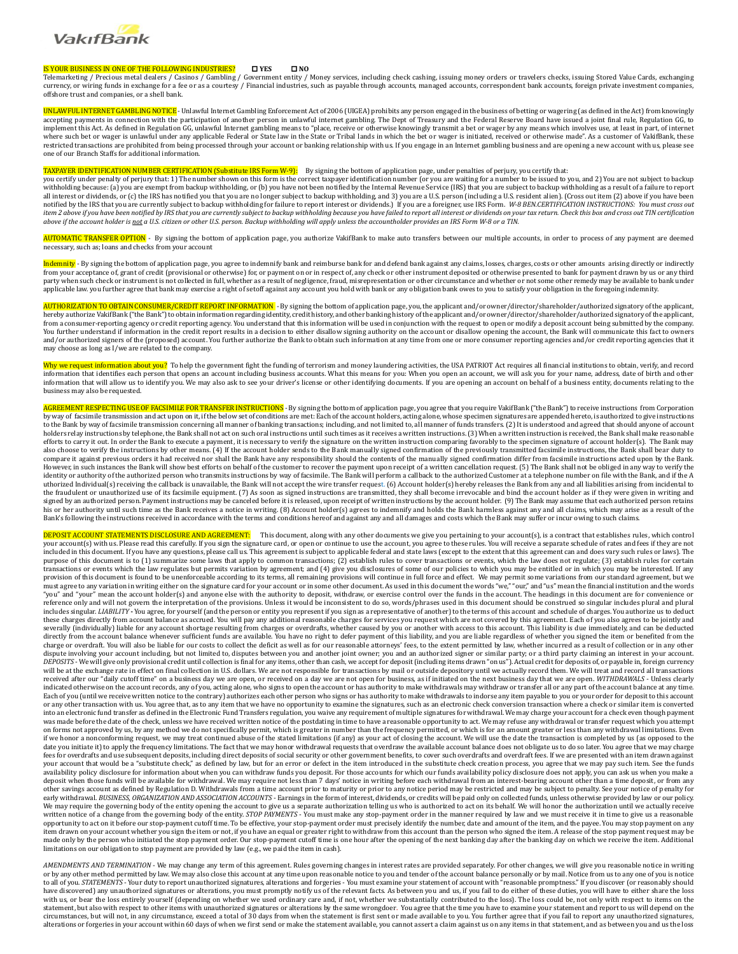

## IS YOUR BUSINESS IN ONE OF THE FOLLOWING INDUSTRIES? **YES NO**

Telemarketing / Precious metal dealers / Casinos / Gambling / Government entity / Money services, including check cashing, issuing money orders or travelers checks, issuing Stored Value Cards, exchanging currency, or wiring funds in exchange for a fee or as a courtesy / Financial industries, such as payable through accounts, managed accounts, correspondent bank accounts, foreign private investment companies, offshore trust and companies, or a shell bank.

UNLAWFUL INTERNET GAMBLING NOTICE - Unlawful Internet Gambling Enforcement Act of 2006 (UIGEA) prohibits any person engaged in the business of betting or wagering (as defined in the Act) from knowingly accepting payments in connection with the participation of another person in unlawful internet gambling. The Dept of Treasury and the Federal Reserve Board have issued a joint final rule, Regulation GG, to implement this Act. As defined in Regulation GG, unlawful Internet gambling means to "place, receive or otherwise knowingly transmit a bet or wager by any means which involves use, at least in part, of internet<br>where such restricted transactions are prohibited from being processed through your account or banking relationship with us. If you engage in an Internet gambling business and are opening a new account with us, please see one of our Branch Staffs for additional information.

<mark>TAXPAYER IDENTIFICATION NUMBER CERTIFICATION (Substitute IRS Form W-9):</mark> By signing the bottom of application page, under penalties of perjury, you certify that:<br>you certify under penalty of perjury that 1) The number sho all interest or dividends, or (c) the IRS has notified you that you are no longer subject to backup withholding, and 3) you are a U.S. person (including a U.S. resident alien). (Cross out item (2) above if you have been<br>no item 2 above if you have been notified by IRS that you are currently subject to backup withholding because you have failed to report all interest or dividends on your tax return. Check this box and cross out TIN certificat *above if the account holder is not a U.S. citizen or other U.S. person. Backup withholding will apply unless the accountholder provides an IRS Form W-8 or a TIN.*

AUTOMATIC TRANSFER OPTION - By signing the bottom of application page, you authorize VakifBank to make auto transfers between our multiple accounts, in order to process of any payment are deemed necessary, such as; loans and checks from your account

<mark>Indemnity</mark> - By signing the bottom of application page, you agree to indemnify bank and reimburse bank for and defend bank against any claims, losses, charges, costs or other amounts arising directly or indirectly from your acceptance of, grant of credit (provisional or otherwise) for, or payment on or in respect of, any check or other instrument deposited or otherwise presented to bank for payment drawn by us or any third<br>party whe applicable law. you further agree that bank may exercise a right of setoff against any account you hold with bank or any obligation bank owes to you to satisfy your obligation in the foregoing indemnity.

<mark>AUTHORIZATION TO OBTAIN CONSUMER/CREDIT REPORT INFORMATION</mark> - By signing the bottom of application page, you, the applicant and/or owner/director/shareholder/authorized signatory of the applicant,<br>hereby authorize VakifBa from a consumer-reporting agency or credit reporting agency. You understand that this information will be used in conjunction with the request to open or modify a deposit account being submitted by the company.<br>You further may choose as long as I/we are related to the company.

Why we request information about you? To help the government fight the funding of terrorism and money laundering activities, the USA PATRIOT Act requires all financial institutions to obtain, verify, and record information that identifies each person that opens an account including business accounts. What this means for you: When you open an account, we will ask you for your name, address, date of birth and other<br>information that business may also be requested.

AGREEMENT RESPECTING USE OF FACSIMILE FOR TRANSFER INSTRUCTIONS -By signing the bottom of application page, you agree that you require VakifBank ("the Bank") to receive instructions from Corporation by way of facsimile transmission and act upon on it, if the below set of conditions are met: Each of the account holders, acting alone, whose specimen signatures are appended hereto, is authorized to give instructions to the Bank by way of facsimile transmission concerning all manner of banking transactions; including, and not limited to, all manner of funds transfers. (2) It is understood and agreed that should anyone of account<br>holder efforts to carry it out. In order the Bank to execute a payment, it is necessary to verify the signature on the written instruction comparing favorably to the specimen signature of account holder(s). The Bank may also choose to verify the instructions by other means. (4) If the account holder sends to the Bank manually signed confirmation of the previously transmitted facsimile instructions, the Bank shall bear duty to<br>compare it a However, in such instances the Bank will show best efforts on behalf of the customer to recover the payment upon receipt of a written cancellation request. (5) The Bank shall not be obliged in any way to verify the identity or authority of the authorized person who transmits instructions by way of facsimile. The Bank will perform a callback to the authorized Customer at a telephone number on file with the Bank, and if the A uthorized Individual(s) receiving the callback is unavailable, the Bank will not accept the wire transfer request. (6) Account holder(s) hereby releases the Bank from any and all liabilities arising from incidental to utho the fraudulent or unauthorized use of its facsimile equipment. (7) As soon as signed instructions are transmitted, they shall become irrevocable and bind the account holder as if they were given in writing and signed by an authorized person. Payment instructions may be canceled before it is released, upon receipt of written instructions by the account holder. (9) The Bank may assume that each authorized person retains his or her authority until such time as the Bank receives a notice in writing. (8) Account holder(s) agrees to indemnify and holds the Bank harmless against any and all claims, which may arise as a result of the Bank's following the instructions received in accordance with the terms and conditions hereof and against any and all damages and costs which the Bank may suffer or incur owing to such claims.

DEPOSIT ACCOUNT STATEMENTS DISCLOSURE AND AGREEMENT: This document, along with any other documents we give you pertaining to your account(s), is a contract that establishes rules, which control your account(s) with us. Please read this carefully. If you sign the signature card, or open or continue to use the account, you agree to these rules. You will receive a separate schedule of rates and fees if they are not included in this document. If you have any questions, please call us. This agreement is subject to applicable federal and state laws (except to the extent that this agreement can and does vary such rules or laws). The<br>purp transactions or events which the law regulates but permits variation by agreement; and (4) give you disclosures of some of our policies to which you may be entitled or in which you may be interested. If any provision of this document is found to be unenforceable according to its terms, all remaining provisions will continue in full force and effect. We may permit some variations from our standard agreement, but we<br>must agree "you" and "your" mean the account holder(s) and anyone else with the authority to deposit, withdraw, or exercise control over the funds in the account. The headings in this document are for convenience or reference only and will not govern the interpretation of the provisions. Unless it would be inconsistent to do so, words/phrases used in this document should be construed so singular includes plural and plural<br>includes sin these charges directly from account balance as accrued. You will pay any additional reasonable charges for services you request which are not covered by this agreement. Each of you also agrees to be jointly and severally (individually) liable for any account shortage resulting from charges or overdrafts, whether caused by you or another with access to this account. This liability is due immediately, and can be deducted<br>directly f charge or overdraft. You will also be liable for our costs to collect the deficit as well as for our reasonable attorneys' fees, to the extent permitted by law, whether incurred as a result of collection or in any other dispute involving your account including, but not limited to, disputes between you and another joint owner; you and an authorized signer or similar party; or a third party claiming an interest in your account. DEPOSITS - We will give only provisional credit until collection is final for any items, other than cash, we accept for deposit (including items drawn "on us"). Actual credit for deposits of, or payable in, foreign currenc will be at the exchange rate in effect on final collection in U.S. dollars. We are not responsible for transactions by mail or outside depository until we actually record them. We will treat and record all transactions received after our "daily cutoff time" on a business day we are open, or received on a day we are not open for business, as if initiated on the next business day that we are open. *WITHDRAWALS* - Unless clearly indicated otherwise on the account records, any of you, acting alone, who signs to open the account or has authority to make withdrawals may withdraw or transfer all or any part of the account balance at any time. Each of you (until we receive written notice to the contrary) authorizes each other person who signs or has authority to make withdrawals to indorse any item payable to you or your order for deposit to this account or any other transaction with us. You agree that, as to any item that we have no opportunity to examine the signatures, such as an electronic check conversion transaction where a check or similar item is converted into an electronic fund transfer as defined in the Electronic Fund Transfers regulation, you waive any requirement of multiple signatures for withdrawal. We may charge your account for a check even though payment was made before the date of the check, unless we have received written notice of the postdating in time to have a reasonable opportunity to act. We may refuse any withdrawal or transfer request which you attempt on forms not approved by us, by any method we do not specifically permit, which is greater in number than the frequency permitted, or which is for an amount greater or less than any withdrawal limitations. Even<br>if we honor date you initiate it) to apply the frequency limitations. The fact that we may honor withdrawal requests that overdraw the available account balance does not obligate us to do so later. You agree that we may charge fees for overdrafts and use subsequent deposits, including direct deposits of social security or other government benefits, to cover such overdrafts and overdraft fees. If we are presented with an item drawn against<br>your a availability policy disclosure for information about when you can withdraw funds you deposit. For those accounts for which our funds availability policy disclosure does not apply, you can ask us when you make a deposit when those funds will be available for withdrawal. We may require not less than 7 days' notice in writing before each withdrawal from an interest-bearing account other than a time deposit, or from any hestroled and early withdrawal. *BUSINESS, ORGANIZATION AND ASSOCIATION ACCOUNTS* - Earnings in the form of interest, dividends, or credits will be paid only on collected funds, unless otherwise provided by law or our policy. We may require the governing body of the entity opening the account to give us a separate authorization telling us who is authorized to act on its behalf. We will honor the authorization until we actually receive<br>written n opportunity to act on it before our stop-payment cutoff time. To be effective, your stop-payment order must precisely identify the number, date and amount of the item, and the payee. You may stop payment on any item drawn on your account whether you sign the item or not, if you have an equal or greater right to withdraw from this account than the person who signed the item. A release of the stop payment request may be made only by the person who initiated the stop payment order. Our stop-payment cutoff time is one hour after the opening of the next banking day after the banking day on which we receive the item. Additional made only by t limitations on our obligation to stop payment are provided by law (e.g., we paid the item in cash).

*AMENDMENTS AND TERMINATION* - We may change any term of this agreement. Rules governing changes in interest rates are provided separately. For other changes, we will give you reasonable notice in writing or by any other method permitted by law. We may also close this account at any time upon reasonable notice to you and tender of the account balance personally or by mail. Notice from us to any one of you is notice<br>to all o have discovered) any unauthorized signatures or alterations, you must promptly notify us of the relevant facts. As between you and us, if you fail to do either of these duties, you will have to either share the loss with us, or bear the loss entirely yourself (depending on whether we used ordinary care and, if not, whether we substantially contributed to the loss). The loss could be, not only with respect to items on the statement, but also with respect to other items with unauthorized signatures or alterations by the same wrongdoer. You agree that the time you have to examine your statement and report to us will depend on the<br>circumstance alterations or forgeries in your account within 60 days of when we first send or make the statement available, you cannot assert a claim against us on any items in that statement, and as between you and us the loss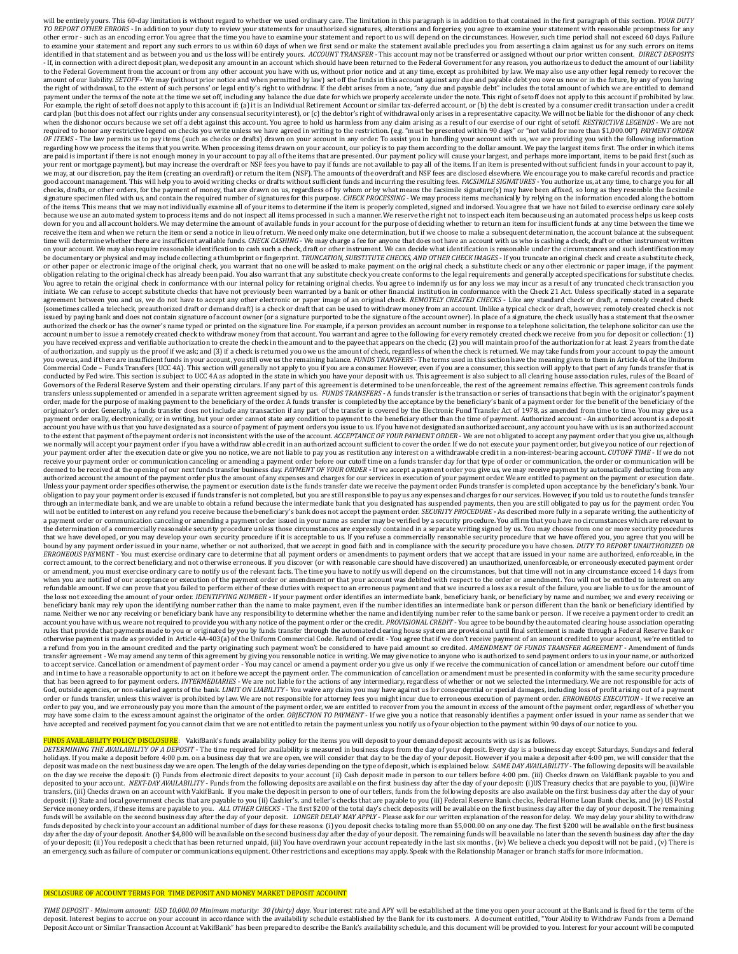will be entirely yours. This 60-day limitation is without regard to whether we used ordinary care. The limitation in this paragraph is in addition to that contained in the first paragraph of this section. *YOUR DUTY*<br>*TO R* other error - such as an encoding error. You agree that the time you have to examine your statement and report to us will depend on the circumstances. However, such time period shall not exceed 60 days. Failure to examine your statement and report any such errors to us within 60 days of when we first send or make the statement available precludes you from asserting a claim against us for any such errors on items<br>identified in tha - If, in connection with a direct deposit plan, we deposit any amount in an account which should have been returned to the Federal Government for any reason, you authorize us to deduct the amount of our liability to the Federal Government from the account or from any other account you have with us, without prior notice and at any time, except as prohibited by law. We may also use any other legal remedy to recover the<br>amount of our the right of withdrawal, to the extent of such persons' or legal entity's right to withdraw. If the debt arises from a note, "any due and payable debt" includes the total amount of which we are entitled to demand payment under the terms of the note at the time we set off, including any balance the due date for which we properly accelerate under the note. This right of setoff does not apply to this account if prohibited by law.<br>For card plan (but this does not affect our rights under any consensual security interest), or (c) the debtor's right of withdrawal only arises in a representative capacity. We will not be liable for the dishonor of any check when the dishonor occurs because we set off a debt against this account. You agree to hold us harmless from any claim arising as a result of our exercise of our right of setoff. *RESTRICTIVE LEGENDS* - We are not required to honor any restrictive legend on checks you write unless we have agreed in writing to the restriction. (e.g. "must be presented within 90 days" or "not valid for more than \$1,000.00") *PAYMENT ORDER*  OF ITEMS - The law permits us to pay items (such as checks or drafts) drawn on your account in any order. To assist you in handling your account with us, we are providing you with the following information information grap your rent or mortgage payment), but may increase the overdraft or NSF fees you have to pay if funds are not available to pay all of the items. If an item is presented without sufficient funds in your account to pay it,<br>we good account management. This will help you to avoid writing checks or drafts without sufficient funds and incurring the resulting fees. *FACSIMILE SIGNATURES* - You authorize us, at any time, to charge you for all checks, drafts, or other orders, for the payment of money, that are drawn on us, regardless of by whom or by what means the facsimile signature(s) may have been affixed, so long as they resemble the facsimile<br>signature spe of the items. This means that we may not individually examine all of your items to determine if the item is properly completed, signed and indorsed. You agree that we have not failed to exercise ordinary care solely because we use an automated system to process items and do not inspect all items processed in such a manner. We reserve the right not to inspect each item because using an automated process helps us keep costs down for you and all account holders. We may determine the amount of available funds in your account for the purpose of deciding whether to return an item for insufficient funds at any time between the time we<br>receive the time will determine whether there are insufficient available funds. *CHECK CASHING* - We may charge a fee for anyone that does not have an account with us who is cashing a check, draft or other instrument written on your account. We may also require reasonable identification to cash such a check, draft or other instrument. We can decide what identification is reasonable under the circumstances and such identification may be documentary or physical and may include collecting a thumbprint or fingerprint. *TRUNCATION, SUBSTITUTE CHECKS, AND OTHER CHECK IMAGES* - If you truncate an original check and create a substitute check, or other paper or electronic image of the original check, you warrant that no one will be asked to make payment on the original check, a substitute check or any other electronic or paper image, if the payment obligation relating to the original check has already been paid. You also warrant that any substitute check you create conforms to the legal requirements and generally accepted specifications for substitute checks.<br>You agr initiate. We can refuse to accept substitute checks that have not previously been warranted by a bank or other financial institution in conformance with the Check 21 Act. Unless specifically stated in a separate in a separ issued by paying bank and does not contain signature of account owner (or a signature purported to be the signature of the account owner). In place of a signature, the check usually has a statement that the owner authorized the check or has the owner's name typed or printed on the signature line. For example, if a person provides an account number in response to a telephone solicitation, the telephone solicitor can use the<br>account you have received express and verifiable authorization to create the check in the amount and to the payee that appears on the check; (2) you will maintain proof of the authorization for at least 2 years from the date<br>of au you owe us, and if there are insufficient funds in your account, you still owe us the remaining balance. *FUNDS TRANSFERS* - The terms used in this section have the meaning given to them in Article 4A of the Uniform Commercial Code – Funds Transfers (UCC 4A). This section will generally not apply to you if you are a consumer. However, even if you are a consumer, this section will apply to that part of any funds transfer that is<br>conduc Governors of the Federal Reserve System and their operating circulars. If any part of this agreement is determined to be unenforceable, the rest of the agreement remains effective. This agreement controls funds transfers unless supplemented or amended in a separate written agreement signed by us. *FUNDS TRANSFERS* **-** A funds transfer is the transaction or series of transactions that begin with the originator's payment order, made for the purpose of making payment to the beneficiary of the order. A funds transfer is completed by the acceptance by the beneficiary's bank of a payment order for the benefit of the beneficiary of the<br>originat payment order orally, electronically, or in writing, but your order cannot state any condition to payment to the beneficiary other than the time of payment. Authorized account - An authorized account is a deposit account you have with us that you have designated as a source of payment of payment orders you issue to us. If you have not designated an authorized account, any account you have with us is an authorized account<br>to the ext we normally will accept your payment order if you have a withdraw able credit in an authorized account sufficient to cover the order. If we do not execute your payment order, but give you notice of our rejection of your payment order after the execution date or give you no notice, we are not liable to pay you as restitution any interest on a withdrawable credit in a non-interest-bearing account. CUTOFF TIME - If we do not<br>receive you deemed to be received at the opening of our next funds transfer business day. PAYMENT OF YOUR ORDER - If we accept a payment order you give us, we may receive payment by automatically deducting from any any received accoun obligation to pay your payment order is excused if funds transfer is not completed, but you are still responsible to pay us any expenses and charges for our services. However, if you told us to route the funds transfer<br>thr will not be entitled to interest on any refund you receive because the beneficiary's bank does not accept the payment order. SECURITY PROCEDURE - As described more fully in a separate writing, the authenticity of a payment order or communication canceling or amending a payment order issued in your name as sender may be verified by a security procedure. You affirm that you have no circumstances which are relevant to<br>the determinatio that we have developed, or you may develop your own security procedure if it is acceptable to us. If you refuse a commercially reasonable security procedure that we have offered you, you agree that you will be bound by any payment order issued in your name, whether or not authorized, that we accept in good faith and in compliance with the security procedure you have chosen. DUTY TO REPORT UNAUTHORIZED OR<br>ERRONEOUS PAYMENT - You correct amount, to the correct beneficiary, and not otherwise erroneous. If you discover (or with reasonable care should have discovered) an unauthorized, unenforceable, or erroneously executed payment order or amendment, you must exercise ordinary care to notify us of the relevant facts. The time you have to notify us will depend on the circumstances, but that time will not in any circumstance exceed 14 days from when you are notified of our acceptance or execution of the payment order or amendment or that your account was debited with respect to the order or amendment. You will not be entitled to interest on any<br>refundable amount. the loss not exceeding the amount of your order. *IDENTIFYING NUMBER*  $\cdot$  If your payment order identifies an intermediate bank, beneficiary bank, or beneficiary by name and number, we and every receiving or beneficiary bank may rely upon the identifying number rather than the name to make payment, even if the number identifies an intermediate bank or person different than the bank or beneficiary identified by name. Neither we nor any receiving or beneficiary bank have any responsibility to determine whether the name and identifying number refer to the same bank or person. If we receive a payment order to credit an<br>account you h rules that provide that payments made to you or originated by you by funds transfer through the automated clearing house system are provisional until final settlement is made through a Federal Reserve Bank or otherwise payment is made as provided in Article 4A-403(a) of the Uniform Commercial Code. Refund of credit - You agree that if we don't receive payment of an amount credited to your account, we're entitled to a refund from you in the amount credited and the party originating such payment won't be considered to have paid amount so credited. AMENDMENT OF FUNDS TRANSFER AGREEMENT - Amendment of funds transfer agreement - We may amend any term of this agreement by giving you reasonable notice io in writing. We may give notice to anyone who is authorized to send payment orders to us in your name, or authorized<br>to accept and in time to have a reasonable opportunity to act on it before we accept the payment order. The communication of cancellation or amendment must be presented in conformity with the same security procedure<br>that has been ag God, outside agencies, or non-salaried agents of the bank. *LIMIT ON LIABILITY* - You waive any claim you may have against us for consequential or special damages, including loss of profit arising out of a payment order or funds transfer, unless this waiver is prohibited by law. We are not responsible for attorney fees you might incur due to erroneous execution of payment order. *ERRONEOUS EXECUTION* - If we receive an order to pay you, and we erroneously pay you more than the amount of the payment order, we are entitled to recover from you the amount in excess of the amount of the payment order, regardless of whether you may have some claim to the excess amount against the originator of the order. *OBJECTION TO PAYMENT* - If we give you a notice that reasonably identifies a payment order issued in your name as sender that we give you a not have accepted and received payment for, you cannot claim that we are not entitled to retain the payment unless you notify us of your objection to the payment within 90 days of our notice to you.

## <mark>:LOSURE</mark>: VakifBank's funds availability policy for the items you will deposit to your demand deposit accounts with us is as follows.

*DETERMINING THE AVAILABILITY OF A DEPOSIT -* The time required for availability is measured in business days from the day of your deposit. Every day is a business day except Saturdays, Sundays and federal holidays. If you make a deposit before 4:00 p.m. on a business day that we are open, we will consider that day to be the day of your deposit. However if you make a deposit after 4:00 pm, we will consider that the<br>deposit w on the day we receive the deposit: (i) Funds from electronic direct deposits to your account (ii) Cash deposit made in person to our tellers before 4:00 pm. (iii) Checks drawn on VakifBank payable to you and deposited to your account. NEXT-DAY AVAILABILITY - Funds from the following deposits are available on the first business day after the day of your deposit: (i) US Treasury checks that are payable to you, (ii) Wire transfers, (iii) Checks drawn on an account with VakifBank. If you make the deposit in person to one of our tellers, funds from the following deposits are also available on the first business day after the day of your deposit: (i) State and local government checks that are payable to you (ii) Cashier's, and teller's checks that are payable to you (iii) Federal Reserve Bank checks, Federal Home Loan Bank checks, and (iv) US Postal Service money orders, if these items are payable to you. ALL OTHER CHECKS - The first \$200 of the total day's check deposits will be available on the first business day after the day of your deposit. The remaining<br>funds wi funds deposited by check into your account an additional number of days for these reasons: (i) you deposit checks totaling more than \$5,000.00 on any one day. The first \$200 will be available on the first business the firs of your deposit; (ii) You redeposit a check that has been returned unpaid, (iii) You have overdrawn your account repeatedly in the last six months , (iv) We believe a check you deposit will not be paid , (v) There is an emergency, such as failure of computer or communications equipment. Other restrictions and exceptions may apply. Speak with the Relationship Manager or branch staffs for more information

## DISCLOSURE OF ACCOUNT TERMS FOR TIME DEPOSIT AND MONEY MARKET DEPOSIT ACCOUNT

TIME DEPOSIT - Minimum amount: USD 10,000.00 Minimum maturity: 30 (thirty) days. Your interest rate and APY will be established at the time you open your account at the Bank and is fixed for the term of the deposit. Interest begins to accrue on your account in accordance with the availability schedule established by the Bank for its customers. A document entitled, "Your Ability to Withdraw Funds from a Demand Deposit Account or Similar Transaction Account at VakifBank" has been prepared to describe the Bank's availability schedule, and this document will be provided to you. Interest for your account will be computed